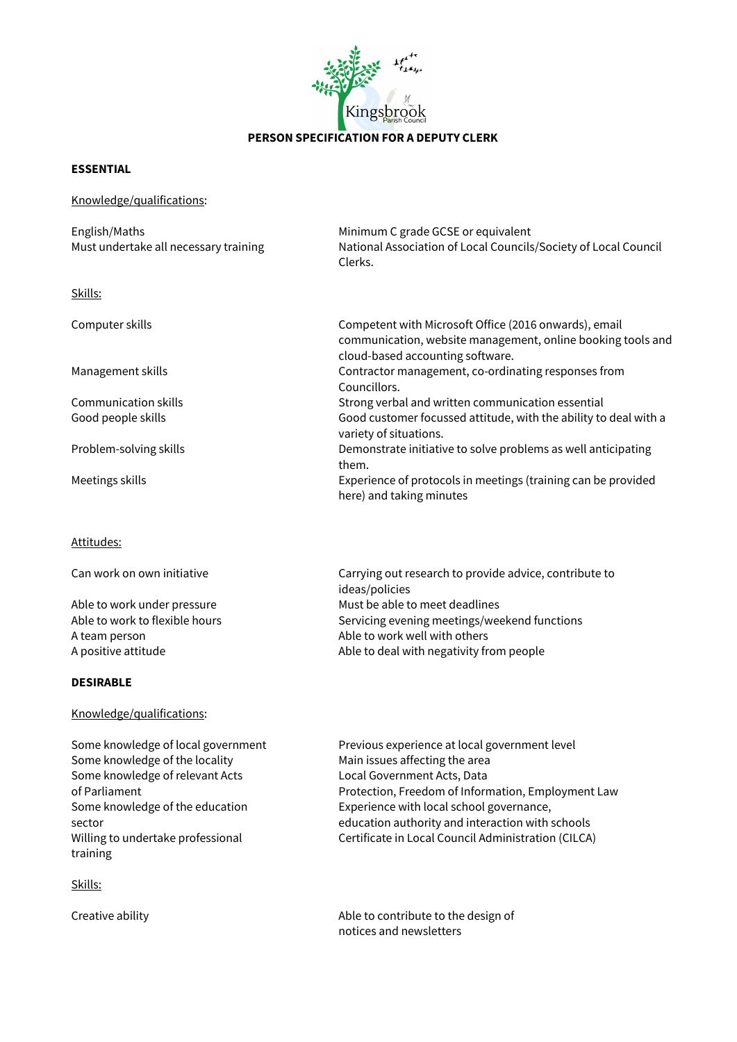

## **PERSON SPECIFICATION FOR A DEPUTY CLERK**

## **ESSENTIAL**

| Knowledge/qualifications:                              |                                                                                                                                                          |
|--------------------------------------------------------|----------------------------------------------------------------------------------------------------------------------------------------------------------|
| English/Maths<br>Must undertake all necessary training | Minimum C grade GCSE or equivalent<br>National Association of Local Councils/Society of Local Council<br>Clerks.                                         |
| Skills:                                                |                                                                                                                                                          |
| Computer skills                                        | Competent with Microsoft Office (2016 onwards), email<br>communication, website management, online booking tools and<br>cloud-based accounting software. |
| Management skills                                      | Contractor management, co-ordinating responses from<br>Councillors.                                                                                      |
| <b>Communication skills</b>                            | Strong verbal and written communication essential                                                                                                        |
| Good people skills                                     | Good customer focussed attitude, with the ability to deal with a<br>variety of situations.                                                               |
| Problem-solving skills                                 | Demonstrate initiative to solve problems as well anticipating<br>them.                                                                                   |
| Meetings skills                                        | Experience of protocols in meetings (training can be provided<br>here) and taking minutes                                                                |

Attitudes:

| Can work on own initiative     | Carrying out research to provide advice, contribute to<br>ideas/policies |
|--------------------------------|--------------------------------------------------------------------------|
| Able to work under pressure    | Must be able to meet deadlines                                           |
| Able to work to flexible hours | Servicing evening meetings/weekend functions                             |
| A team person                  | Able to work well with others                                            |
| A positive attitude            | Able to deal with negativity from people                                 |

## **DESIRABLE**

## Knowledge/qualifications:

| Some knowledge of local government                                                         | Previous experience at local government level                                                                                                       |
|--------------------------------------------------------------------------------------------|-----------------------------------------------------------------------------------------------------------------------------------------------------|
| Some knowledge of the locality                                                             | Main issues affecting the area                                                                                                                      |
| Some knowledge of relevant Acts                                                            | Local Government Acts, Data                                                                                                                         |
| of Parliament                                                                              | Protection, Freedom of Information, Employment Law                                                                                                  |
| Some knowledge of the education<br>sector<br>Willing to undertake professional<br>training | Experience with local school governance,<br>education authority and interaction with schools<br>Certificate in Local Council Administration (CILCA) |

Skills:

Creative ability **Able to contribute to the design of**  $\blacksquare$ notices and newsletters